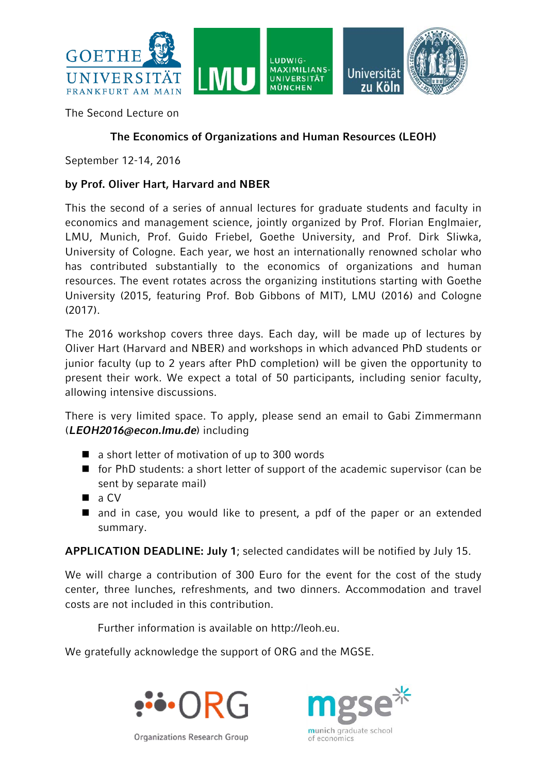

The Second Lecture on

## **The Economics of Organizations and Human Resources (LEOH)**

September 12-14, 2016

## **by Prof. Oliver Hart, Harvard and NBER**

This the second of a series of annual lectures for graduate students and faculty in economics and management science, jointly organized by Prof. Florian Englmaier, LMU, Munich, Prof. Guido Friebel, Goethe University, and Prof. Dirk Sliwka, University of Cologne. Each year, we host an internationally renowned scholar who has contributed substantially to the economics of organizations and human resources. The event rotates across the organizing institutions starting with Goethe University (2015, featuring Prof. Bob Gibbons of MIT), LMU (2016) and Cologne  $(2017)$ .

The 2016 workshop covers three days. Each day, will be made up of lectures by Oliver Hart (Harvard and NBER) and workshops in which advanced PhD students or junior faculty (up to 2 years after PhD completion) will be given the opportunity to present their work. We expect a total of 50 participants, including senior faculty, allowing intensive discussions.

There is very limited space. To apply, please send an email to Gabi Zimmermann (*[LEOH2016@econ.lmu.de](mailto:LEOH2016@econ.lmu.de)*) including

- a short letter of motivation of up to 300 words
- $\blacksquare$  for PhD students: a short letter of support of the academic supervisor (can be sent by separate mail)
- $\blacksquare$  a CV
- and in case, you would like to present, a pdf of the paper or an extended summary.

**APPLICATION DEADLINE: July 1**; selected candidates will be notified by July 15.

We will charge a contribution of 300 Euro for the event for the cost of the study center, three lunches, refreshments, and two dinners. Accommodation and travel costs are not included in this contribution.

Further information is available on http://leoh.eu.

We gratefully acknowledge the support of ORG and the MGSE.





Organizations Research Group